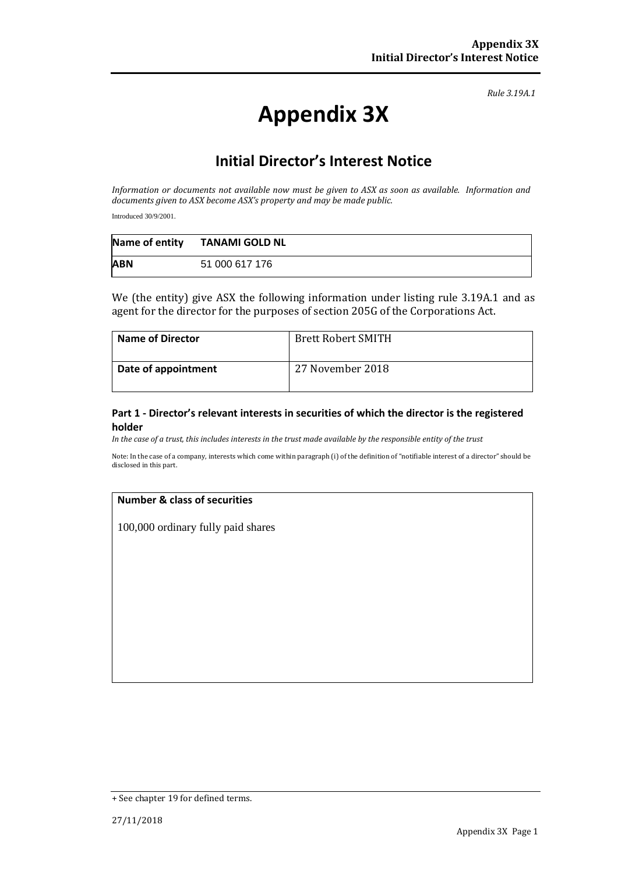*Rule 3.19A.1*

# **Appendix 3X**

## **Initial Director's Interest Notice**

*Information or documents not available now must be given to ASX as soon as available. Information and documents given to ASX become ASX's property and may be made public.*

Introduced 30/9/2001.

|            | Name of entity TANAMI GOLD NL |
|------------|-------------------------------|
| <b>ABN</b> | 51 000 617 176                |

We (the entity) give ASX the following information under listing rule 3.19A.1 and as agent for the director for the purposes of section 205G of the Corporations Act.

| <b>Name of Director</b> | <b>Brett Robert SMITH</b> |
|-------------------------|---------------------------|
| Date of appointment     | 27 November 2018          |

#### **Part 1 - Director's relevant interests in securities of which the director is the registered holder**

*In the case of a trust, this includes interests in the trust made available by the responsible entity of the trust*

Note: In the case of a company, interests which come within paragraph (i) of the definition of "notifiable interest of a director" should be disclosed in this part.

#### **Number & class of securities**

100,000 ordinary fully paid shares

<sup>+</sup> See chapter 19 for defined terms.